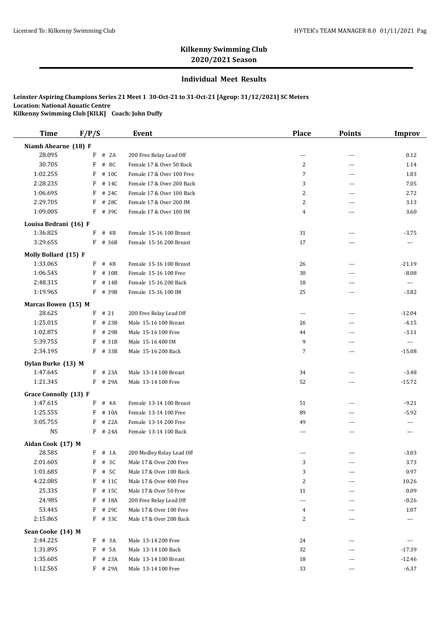## **Individual Meet Results**

| <b>Time</b>                   | F/P/S |                  | Event                                    | <b>Place</b>   | <b>Points</b>     | <b>Improv</b>            |
|-------------------------------|-------|------------------|------------------------------------------|----------------|-------------------|--------------------------|
| Niamh Ahearne (18) F          |       |                  |                                          |                |                   |                          |
| 28.09S                        | F     | # 2A             | 200 Free Relay Lead Off                  | $---$          | $\sim$ $\sim$     | 0.12                     |
| 30.70S                        | F     | # 8C             | Female 17 & Over 50 Back                 | 2              | $---$             | 1.14                     |
| 1:02.25S                      | F     | # 10C            | Female 17 & Over 100 Free                | 7              | ---               | 1.83                     |
| 2:28.23S                      | F     | # 14C            | Female 17 & Over 200 Back                | 3              | $\sim$ $\sim$     | 7.05                     |
| 1:06.69S                      | F     | # 24C            | Female 17 & Over 100 Back                | $\overline{c}$ | $---$             | 2.72                     |
| 2:29.70S                      | F     | # 28C            | Female 17 & Over 200 IM                  | 2              | $- - -$           | 3.13                     |
| 1:09.00S                      | F     | # 39C            | Female 17 & Over 100 IM                  | 4              | ---               | 3.60                     |
| Louisa Bedrani (16) F         |       |                  |                                          |                |                   |                          |
| 1:36.82S                      | F     | # 4B             | Female 15-16 100 Breast                  | 31             | $---$             | $-3.75$                  |
| 3:29.65S                      |       | F # 36B          | Female 15-16 200 Breast                  | 17             | ---               | $\scriptstyle\cdots$     |
| Molly Bollard (15) F          |       |                  |                                          |                |                   |                          |
| 1:33.06S                      | F     | # 4B             | Female 15-16 100 Breast                  | 26             | ---               | $-21.19$                 |
| 1:06.54S                      | F     | # 10B            | Female 15-16 100 Free                    | 30             | $---$             | $-8.08$                  |
| 2:48.31S                      | F     | # 14B            | Female 15-16 200 Back                    | 18             | ---               | $\overline{\phantom{a}}$ |
| 1:19.96S                      | F     | # 39B            | Female 15-16 100 IM                      | 25             | $\overline{a}$    | $-3.82$                  |
|                               |       |                  |                                          |                |                   |                          |
| Marcas Bowen (15) M<br>28.62S | F     | # 21             |                                          | $\overline{a}$ | $\sim$ $\sim$     |                          |
|                               |       |                  | 200 Free Relay Lead Off                  |                |                   | $-12.04$                 |
| 1:25.01S                      | F     | # 23B            | Male 15-16 100 Breast                    | 26             | $---$             | $-4.15$                  |
| 1:02.87S                      | F     | # 29B            | Male 15-16 100 Free                      | 44             | ---               | $-3.11$                  |
| 5:39.75S<br>2:34.19S          | F     | # 31B<br>F # 33B | Male 15-16 400 IM<br>Male 15-16 200 Back | 9<br>7         | $\sim$ $\sim$     | $\overline{a}$           |
|                               |       |                  |                                          |                | ---               | $-15.08$                 |
| Dylan Burke (13) M            |       |                  |                                          |                |                   |                          |
| 1:47.64S                      | F     | # 23A            | Male 13-14 100 Breast                    | 34             | $---$             | $-3.48$                  |
| 1:21.34S                      |       | F # 29A          | Male 13-14 100 Free                      | 52             | $\sim$ $\sim$     | $-15.72$                 |
| Grace Connolly (13) F         |       |                  |                                          |                |                   |                          |
| 1:47.61S                      | F     | # 4A             | Female 13-14 100 Breast                  | 51             | $\sim$ $\sim$     | $-9.21$                  |
| 1:25.55S                      | F     | # 10A            | Female 13-14 100 Free                    | 89             | $\overline{a}$    | $-5.92$                  |
| 3:05.75S                      | F     | # 22A            | Female 13-14 200 Free                    | 49             | ---               | ---                      |
| <b>NS</b>                     |       | $F$ # 24A        | Female 13-14 100 Back                    | ---            | ---               | $---$                    |
| Aidan Cook (17) M             |       |                  |                                          |                |                   |                          |
| 28.58S                        |       | $F$ # 1A         | 200 Medley Relay Lead Off                | ---            | ---               | $-3.03$                  |
| 2:01.60S                      | F     | # 3C             | Male 17 & Over 200 Free                  | 3              | ---               | 3.73                     |
| 1:01.68S                      | F     | # 5C             | Male 17 & Over 100 Back                  | 3              | $\cdots$          | 0.97                     |
| 4:22.08S                      | F     | # 11C            | Male 17 & Over 400 Free                  | $\overline{c}$ | ---               | 10.26                    |
| 25.33S                        | F     | # 15C            | Male 17 & Over 50 Free                   | 11             | ---               | 0.09                     |
| 24.98S                        | F     | # 18A            | 200 Free Relay Lead Off                  | ---            | ---               | $-0.26$                  |
| 53.44S                        | F     | # 29C            | Male 17 & Over 100 Free                  | 4              | ---               | 1.07                     |
| 2:15.86S                      |       | $F$ # 33C        | Male 17 & Over 200 Back                  | 2              | ---               | ---                      |
| Sean Cooke (14) M             |       |                  |                                          |                |                   |                          |
| 2:44.22S                      | F     | # 3A             | Male 13-14 200 Free                      | 24             | $---$             | $\cdots$                 |
| 1:31.89S                      | F     | # 5A             | Male 13-14 100 Back                      | 32             | ---               | -17.39                   |
| 1:35.60S                      | F     | # 23A            | Male 13-14 100 Breast                    | 18             | ---               | $-12.46$                 |
| 1:12.56S                      |       | F # 29A          | Male 13-14 100 Free                      | 33             | $\qquad \qquad -$ | $-6.37$                  |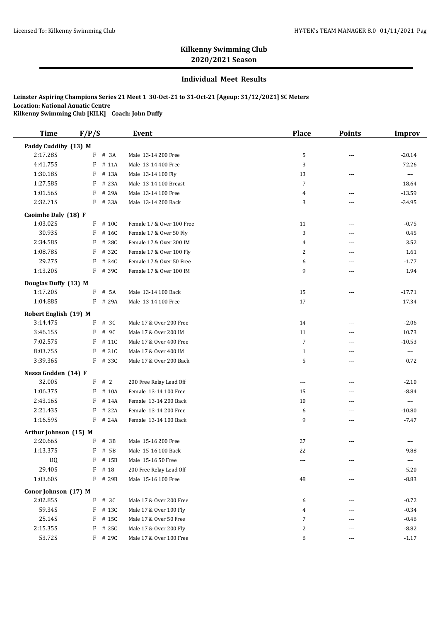### **Individual Meet Results**

| <b>Time</b>           | F/P/S |           | <b>Event</b>              | <b>Place</b>   | <b>Points</b>  | <b>Improv</b>         |
|-----------------------|-------|-----------|---------------------------|----------------|----------------|-----------------------|
| Paddy Cuddihy (13) M  |       |           |                           |                |                |                       |
| 2:17.28S              | F     | # 3A      | Male 13-14 200 Free       | 5              | $\overline{a}$ | $-20.14$              |
| 4:41.75S              | F     | # 11A     | Male 13-14 400 Free       | 3              | ---            | $-72.26$              |
| 1:30.18S              | F     | # 13A     | Male 13-14 100 Fly        | 13             | ---            | $\scriptstyle\cdots$  |
| 1:27.58S              | F     | # 23A     | Male 13-14 100 Breast     | $\overline{7}$ | $\overline{a}$ | $-18.64$              |
| 1:01.56S              | F     | # 29A     | Male 13-14 100 Free       | 4              | ---            | $-13.59$              |
| 2:32.71S              |       | F # 33A   | Male 13-14 200 Back       | 3              | $\sim$ $\sim$  | $-34.95$              |
| Caoimhe Daly (18) F   |       |           |                           |                |                |                       |
| 1:03.02S              |       | F # 10C   | Female 17 & Over 100 Free | 11             | ---            | $-0.75$               |
| 30.93S                | F     | # 16C     | Female 17 & Over 50 Fly   | 3              | ---            | 0.45                  |
| 2:34.58S              | F     | # 28C     | Female 17 & Over 200 IM   | 4              | $\sim$ $\sim$  | 3.52                  |
| 1:08.78S              | F     | # 32C     | Female 17 & Over 100 Fly  | 2              | $\sim$ $\sim$  | 1.61                  |
| 29.27S                | F     | # 34C     | Female 17 & Over 50 Free  | 6              | ---            | $-1.77$               |
| 1:13.20S              |       | F # 39C   | Female 17 & Over 100 IM   | 9              | $\sim$ $\sim$  | 1.94                  |
| Douglas Duffy (13) M  |       |           |                           |                |                |                       |
| 1:17.20S              | F     | # 5A      | Male 13-14 100 Back       | 15             | $\overline{a}$ | $-17.71$              |
| 1:04.88S              | F     | # 29A     | Male 13-14 100 Free       | 17             | ---            | $-17.34$              |
| Robert English (19) M |       |           |                           |                |                |                       |
| 3:14.47S              | F     | # 3C      | Male 17 & Over 200 Free   | 14             | ---            | $-2.06$               |
| 3:46.15S              | F     | # 9C      | Male 17 & Over 200 IM     | 11             | ---            | 10.73                 |
| 7:02.57S              | F     | # 11C     | Male 17 & Over 400 Free   | $\overline{7}$ | $\overline{a}$ | $-10.53$              |
| 8:03.75S              | F     | # 31C     | Male 17 & Over 400 IM     | $\mathbf{1}$   | ---            | $\scriptstyle\cdots$  |
| 3:39.36S              |       | F # 33C   | Male 17 & Over 200 Back   | 5              | ---            | 0.72                  |
| Nessa Godden (14) F   |       |           |                           |                |                |                       |
| 32.00S                | F     | #2        | 200 Free Relay Lead Off   | ---            | $\overline{a}$ | $-2.10$               |
| 1:06.37S              | F     | # 10A     | Female 13-14 100 Free     | 15             | ---            | $-8.84$               |
| 2:43.16S              | F     | # 14A     | Female 13-14 200 Back     | 10             | ---            | $\scriptstyle \cdots$ |
| 2:21.43S              | F     | # 22A     | Female 13-14 200 Free     | 6              | $\sim$ $\sim$  | $-10.80$              |
| 1:16.59S              | F     | # 24A     | Female 13-14 100 Back     | 9              | ---            | $-7.47$               |
| Arthur Johnson (15) M |       |           |                           |                |                |                       |
| 2:20.66S              | F     | # 3B      | Male 15-16 200 Free       | 27             | ---            | ---                   |
| 1:13.37S              | F     | # 5B      | Male 15-16 100 Back       | 22             | $\sim$ $\sim$  | $-9.88$               |
| DQ                    |       | $F$ # 15B | Male 15-16 50 Free        |                |                |                       |
| 29.40S                | F     | # 18      | 200 Free Relay Lead Off   | $\cdots$       | $\cdots$       | $-5.20$               |
| 1:03.60S              | F     | # 29B     | Male 15-16 100 Free       | 48             | $---$          | $-8.83$               |
| Conor Johnson (17) M  |       |           |                           |                |                |                       |
| 2:02.85S              | F     | # 3C      | Male 17 & Over 200 Free   | 6              | ---            | $-0.72$               |
| 59.34S                | F     | # 13C     | Male 17 & Over 100 Fly    | 4              | ---            | $-0.34$               |
| 25.14S                | F     | # 15C     | Male 17 & Over 50 Free    | 7              | ---            | $-0.46$               |
| 2:15.35S              | F     | # 25C     | Male 17 & Over 200 Fly    | 2              | ---            | $-8.82$               |
| 53.72S                |       | $F$ # 290 | Male 17 & Over 100 Free   | 6              | $\cdots$       | $-1.17$               |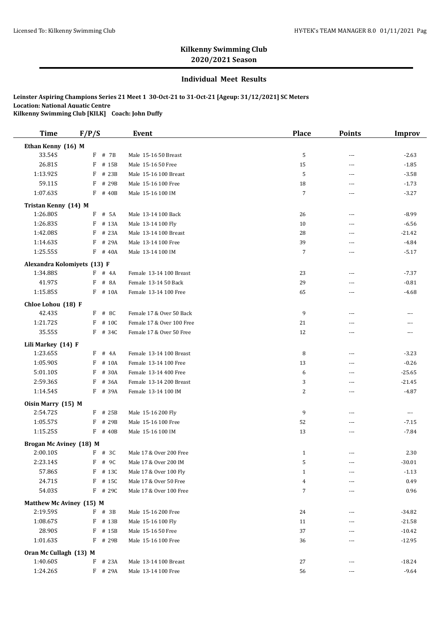## **Individual Meet Results**

| <b>Time</b>                             | F/P/S      | <b>Event</b>                       | Place          | <b>Points</b>  | <b>Improv</b>        |
|-----------------------------------------|------------|------------------------------------|----------------|----------------|----------------------|
| Ethan Kenny (16) M                      |            |                                    |                |                |                      |
| 33.54S                                  | F # 7B     | Male 15-16 50 Breast               | 5              | $---$          | $-2.63$              |
| 26.81S                                  | F # 15B    | Male 15-16 50 Free                 | 15             | $---$          | $-1.85$              |
| 1:13.92S                                | F # 23B    | Male 15-16 100 Breast              | 5              | ---            | $-3.58$              |
| 59.11S                                  | F          | # 29B<br>Male 15-16 100 Free       | 18             | ---            | $-1.73$              |
| 1:07.63S                                | $F$ # 40B  | Male 15-16 100 IM                  | $\overline{7}$ | ---            | $-3.27$              |
| Tristan Kenny (14) M                    |            |                                    |                |                |                      |
| 1:26.80S                                | $F$ # 5A   | Male 13-14 100 Back                | 26             | $\overline{a}$ | $-8.99$              |
| 1:26.83S                                | $F$ # 13A  | Male 13-14 100 Fly                 | 10             | $\sim$         | $-6.56$              |
| 1:42.08S                                | $F$ # 23A  | Male 13-14 100 Breast              | 28             | ---            | $-21.42$             |
| 1:14.63S                                | F<br># 29A | Male 13-14 100 Free                | 39             | $---$          | $-4.84$              |
| 1:25.55S                                | F # 40A    | Male 13-14 100 IM                  | $\overline{7}$ | $\sim$         | $-5.17$              |
|                                         |            |                                    |                |                |                      |
| Alexandra Kolomiyets (13) F<br>1:34.88S | $F$ # 4A   | Female 13-14 100 Breast            | 23             | $\overline{a}$ | $-7.37$              |
|                                         |            |                                    |                |                |                      |
| 41.97S                                  | # 8A<br>F  | Female 13-14 50 Back               | 29             | $---$          | $-0.81$              |
| 1:15.85S                                | F # 10A    | Female 13-14 100 Free              | 65             | $---$          | $-4.68$              |
| Chloe Lohou (18) F                      |            |                                    |                |                |                      |
| 42.43S                                  | F # 8C     | Female 17 & Over 50 Back           | 9              | $---$          | ---                  |
| 1:21.72S                                | F          | # 10C<br>Female 17 & Over 100 Free | 21             | $- - -$        | ---                  |
| 35.55S                                  | F # 34C    | Female 17 & Over 50 Free           | 12             | $---$          | ---                  |
| Lili Markey (14) F                      |            |                                    |                |                |                      |
| 1:23.65S                                | $F$ # 4A   | Female 13-14 100 Breast            | 8              | $---$          | $-3.23$              |
| 1:05.90S                                | F          | # 10A<br>Female 13-14 100 Free     | 13             | $\sim$         | $-0.26$              |
| 5:01.10S                                | F # 30A    | Female 13-14 400 Free              | 6              | ---            | $-25.65$             |
| 2:59.36S                                | F # 36A    | Female 13-14 200 Breast            | 3              | $- - -$        | $-21.45$             |
| 1:14.54S                                | F # 39A    | Female 13-14 100 IM                | 2              | $\overline{a}$ | $-4.87$              |
| Oisin Marry (15) M                      |            |                                    |                |                |                      |
| 2:54.72S                                | F # 25B    | Male 15-16 200 Fly                 | 9              | $---$          | $\scriptstyle\cdots$ |
| 1:05.57S                                | F # 29B    | Male 15-16 100 Free                | 52             | ---            | $-7.15$              |
| 1:15.25S                                | F # 40B    | Male 15-16 100 IM                  | 13             | $\sim$         | $-7.84$              |
| <b>Brogan Mc Aviney (18) M</b>          |            |                                    |                |                |                      |
| 2:00.10S                                | F # 3C     | Male 17 & Over 200 Free            | 1              | $---$          | 2.30                 |
| 2:23.14S                                | F # 9C     | Male 17 & Over 200 IM              | 5              | $\overline{a}$ | $-30.01$             |
| 57.86S                                  | $F$ # 13C  | Male 17 & Over 100 Fly             | $\mathbf{1}$   | ---            | $-1.13$              |
| 24.71S                                  | $F$ # 15C  | Male 17 & Over 50 Free             | 4              | $\cdots$       | 0.49                 |
| 54.03S                                  | $F$ # 29C  | Male 17 & Over 100 Free            | 7              | ---            | 0.96                 |
| Matthew Mc Aviney (15) M                |            |                                    |                |                |                      |
| 2:19.59S                                | $F$ # 3B   | Male 15-16 200 Free                | 24             | ---            | $-34.82$             |
| 1:08.67S                                | $F$ # 13B  | Male 15-16 100 Fly                 | 11             | $\overline{a}$ | $-21.58$             |
| 28.90S                                  | F<br># 15B | Male 15-16 50 Free                 | 37             | ---            | $-10.42$             |
| 1:01.63S                                | F # 29B    | Male 15-16 100 Free                | 36             | $\overline{a}$ | $-12.95$             |
| Oran Mc Cullagh (13) M                  |            |                                    |                |                |                      |
| 1:40.60S                                | # 23A<br>F | Male 13-14 100 Breast              | 27             | $---$          | $-18.24$             |
| 1:24.26S                                | F # 29A    | Male 13-14 100 Free                | 56             | ---            | $-9.64$              |
|                                         |            |                                    |                |                |                      |